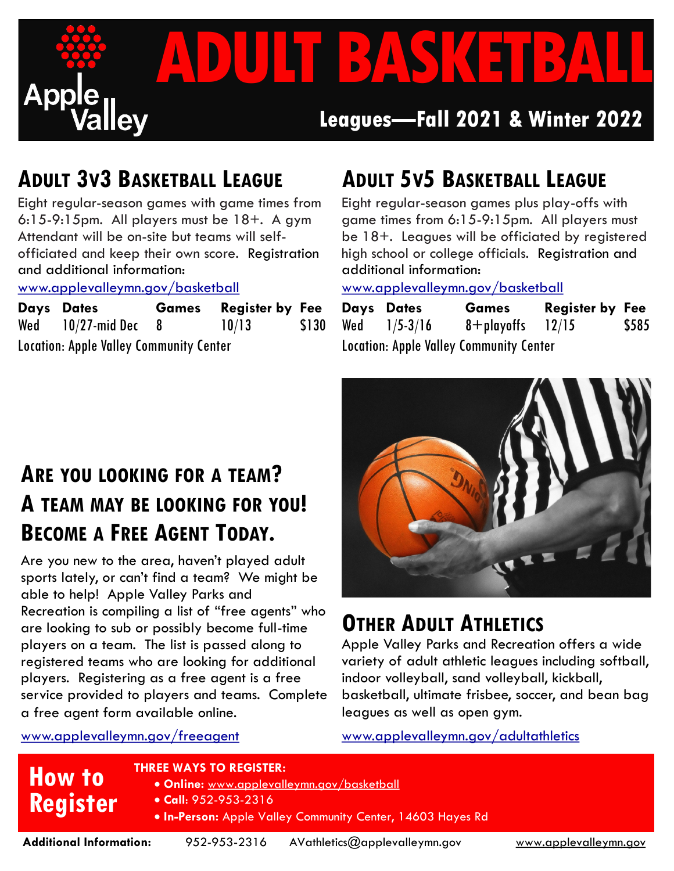

## **ADULT 3V3 BASKETBALL LEAGUE**

Eight regular-season games with game times from 6:15-9:15pm. All players must be 18+. A gym Attendant will be on-site but teams will selfofficiated and keep their own score. Registration and additional information:

www.applevalleymn.gov/basketball

|                                                | Days Dates               |  | <b>Games</b> Register by Fee |       |
|------------------------------------------------|--------------------------|--|------------------------------|-------|
|                                                | Wed $10/27$ -mid Dec $8$ |  | 10/13                        | \$130 |
| <b>Location: Apple Valley Community Center</b> |                          |  |                              |       |

# **ADULT 5V5 BASKETBALL LEAGUE**

Eight regular-season games plus play-offs with game times from 6:15-9:15pm. All players must be 18+. Leagues will be officiated by registered high school or college officials. Registration and additional information:

www.applevalleymn.gov/basketball

| Days Dates       | <b>Games</b>                                   | <b>Register by Fee</b> |       |
|------------------|------------------------------------------------|------------------------|-------|
| Wed $1/5 - 3/16$ | $8 +$ playoffs 12/15                           |                        | \$585 |
|                  | <b>Location: Apple Valley Community Center</b> |                        |       |

## **ARE YOU LOOKING FOR A TEAM? A TEAM MAY BE LOOKING FOR YOU! BECOME A FREE AGENT TODAY.**

Are you new to the area, haven't played adult sports lately, or can't find a team? We might be able to help! Apple Valley Parks and Recreation is compiling a list of "free agents" who are looking to sub or possibly become full-time players on a team. The list is passed along to registered teams who are looking for additional players. Registering as a free agent is a free service provided to players and teams. Complete a free agent form available online.

# **OTHER ADULT ATHLETICS**

Apple Valley Parks and Recreation offers a wide variety of adult athletic leagues including softball, indoor volleyball, sand volleyball, kickball, basketball, ultimate frisbee, soccer, and bean bag leagues as well as open gym.

www.applevalleymn.gov/freeagent

**How to** 

**Register**

## www.applevalleymn.gov/adultathletics

### **THREE WAYS TO REGISTER:**

- **Online:** [www.applevalleymn.gov/basketball](https://www.ci.apple-valley.mn.us/252/Softball)
- **Call**: 952-953-2316
	- **In-Person:** Apple Valley Community Center, 14603 Hayes Rd